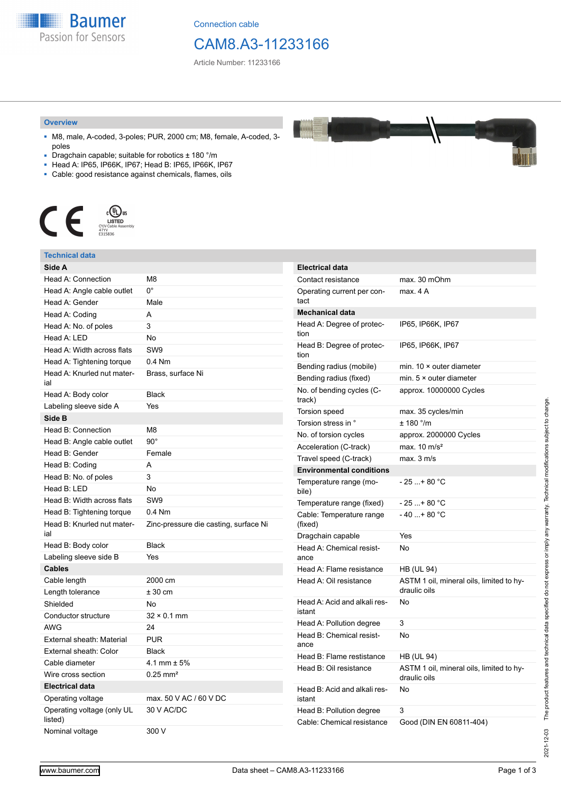

Connection cable

## CAM8.A3-11233166

Article Number: 11233166

#### **Overview**

- M8, male, A-coded, 3-poles; PUR, 2000 cm; M8, female, A-coded, 3 poles
- Dragchain capable; suitable for robotics ± 180 °/m
- Head A: IP65, IP66K, IP67; Head B: IP65, IP66K, IP67
- Cable: good resistance against chemicals, flames, oils



#### **Technical data**

| Side A                                |                                       | Electri           |
|---------------------------------------|---------------------------------------|-------------------|
| Head A: Connection                    | M <sub>8</sub>                        | Contac            |
| Head A: Angle cable outlet            | $0^{\circ}$                           | Operat            |
| Head A: Gender                        | Male                                  | tact              |
| Head A: Coding                        | A                                     | Mecha             |
| Head A: No. of poles                  | 3                                     | Head A            |
| Head A: LED                           | <b>No</b>                             | tion              |
| Head A: Width across flats            | SW <sub>9</sub>                       | Head E<br>tion    |
| Head A: Tightening torque             | 0.4 Nm                                | Bendin            |
| Head A: Knurled nut mater-<br>ial     | Brass, surface Ni                     | Bendin            |
| Head A: Body color                    | <b>Black</b>                          | No. of<br>track)  |
| Labeling sleeve side A                | Yes                                   | Torsior           |
| Side B                                |                                       | Torsior           |
| Head B: Connection                    | M8                                    | No. of t          |
| Head B: Angle cable outlet            | $90^{\circ}$                          | Accele            |
| Head B: Gender                        | Female                                | Travel            |
| Head B: Coding                        | A                                     | Enviro            |
| Head B: No. of poles                  | 3                                     | Tempe             |
| Head B: LED                           | No                                    | bile)             |
| Head B: Width across flats            | SW9                                   | Tempe             |
| Head B: Tightening torque             | $0.4$ Nm                              | Cable:            |
| Head B: Knurled nut mater-<br>ial     | Zinc-pressure die casting, surface Ni | (fixed)<br>Dragch |
| Head B: Body color                    | <b>Black</b>                          | Head A            |
| Labeling sleeve side B                | Yes                                   | ance              |
| <b>Cables</b>                         |                                       | Head A            |
| Cable length                          | 2000 cm                               | Head A            |
| Length tolerance                      | ± 30 cm                               |                   |
| Shielded                              | No                                    | Head A            |
| Conductor structure                   | $32 \times 0.1$ mm                    | istant            |
| <b>AWG</b>                            | 24                                    | Head A            |
| External sheath: Material             | <b>PUR</b>                            | Head E            |
| External sheath: Color                | <b>Black</b>                          | ance              |
| Cable diameter                        | 4.1 mm $\pm$ 5%                       | Head E            |
| Wire cross section                    | $0.25$ mm <sup>2</sup>                | Head E            |
| <b>Electrical data</b>                |                                       | Head E            |
| Operating voltage                     | max. 50 V AC / 60 V DC                | istant            |
| Operating voltage (only UL<br>listed) | 30 V AC/DC                            | Head E            |
| Nominal voltage                       | 300 V                                 | Cable:            |
|                                       |                                       |                   |

| <b>Electrical data</b>                 |                                                          |
|----------------------------------------|----------------------------------------------------------|
| Contact resistance                     | max. 30 mOhm                                             |
| Operating current per con-<br>tact     | max. 4 A                                                 |
| <b>Mechanical data</b>                 |                                                          |
| Head A: Degree of protec-<br>tion      | IP65, IP66K, IP67                                        |
| Head B: Degree of protec-<br>tion      | IP65, IP66K, IP67                                        |
| Bending radius (mobile)                | min. $10 \times$ outer diameter                          |
| Bending radius (fixed)                 | min. $5 \times$ outer diameter                           |
| No. of bending cycles (C-<br>track)    | approx. 10000000 Cycles                                  |
| Torsion speed                          | max. 35 cycles/min                                       |
| Torsion stress in °                    | $± 180$ °/m                                              |
| No. of torsion cycles                  | approx. 2000000 Cycles                                   |
| Acceleration (C-track)                 | max. $10 \text{ m/s}^2$                                  |
| Travel speed (C-track)                 | max. 3 m/s                                               |
| <b>Environmental conditions</b>        |                                                          |
| Temperature range (mo-<br>bile)        | - 25 + 80 °C                                             |
| Temperature range (fixed)              | - 25 + 80 °C                                             |
| Cable: Temperature range<br>(fixed)    | $-40+80 °C$                                              |
| Dragchain capable                      | Yes                                                      |
| Head A: Chemical resist-<br>ance       | No                                                       |
| Head A: Flame resistance               | <b>HB (UL 94)</b>                                        |
| Head A: Oil resistance                 | ASTM 1 oil, mineral oils, limited to hy-<br>draulic oils |
| Head A: Acid and alkali res-<br>istant | No                                                       |
| Head A: Pollution degree               | 3                                                        |
| Head B: Chemical resist-<br>ance       | No                                                       |
| Head B: Flame restistance              | HB (UL 94)                                               |
| Head B: Oil resistance                 | ASTM 1 oil, mineral oils, limited to hy-<br>draulic oils |
| Head B: Acid and alkali res-<br>istant | No                                                       |
| Head B: Pollution degree               | 3                                                        |
| Cable: Chemical resistance             | Good (DIN EN 60811-404)                                  |

2021-12-03

2021-12-03 The product features and technical data specified do not express or imply any warranty. Technical modifications subject to change.

The product features and technical data specified do not express or imply any warranty. Technical modifications subject to change.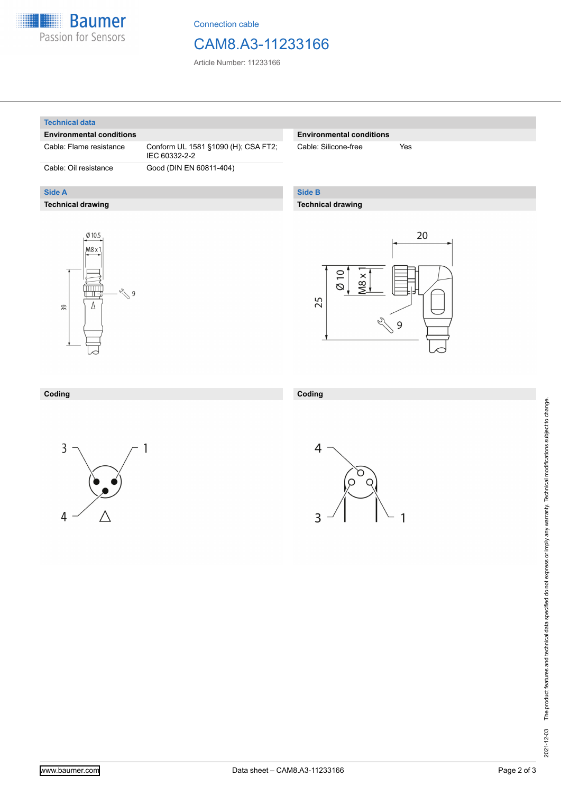

Connection cable

### CAM8.A3-11233166

Article Number: 11233166

#### **Technical data**

**Side A**

#### **Environmental conditions**

Cable: Flame resistance Conform UL 1581 §1090 (H); CSA FT2;

**Technical drawing**

IEC 60332-2-2 Cable: Oil resistance Good (DIN EN 60811-404)

#### **Environmental conditions**

Cable: Silicone-free Yes

### **Side B**

#### **Technical drawing**